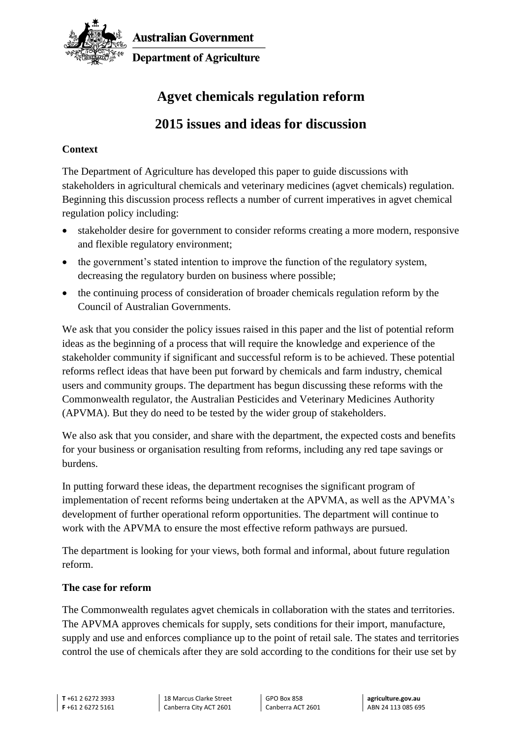

**Australian Government Department of Agriculture** 

# **Agvet chemicals regulation reform**

# **2015 issues and ideas for discussion**

### **Context**

The Department of Agriculture has developed this paper to guide discussions with stakeholders in agricultural chemicals and veterinary medicines (agvet chemicals) regulation. Beginning this discussion process reflects a number of current imperatives in agvet chemical regulation policy including:

- stakeholder desire for government to consider reforms creating a more modern, responsive and flexible regulatory environment;
- the government's stated intention to improve the function of the regulatory system, decreasing the regulatory burden on business where possible;
- the continuing process of consideration of broader chemicals regulation reform by the Council of Australian Governments.

We ask that you consider the policy issues raised in this paper and the list of potential reform ideas as the beginning of a process that will require the knowledge and experience of the stakeholder community if significant and successful reform is to be achieved. These potential reforms reflect ideas that have been put forward by chemicals and farm industry, chemical users and community groups. The department has begun discussing these reforms with the Commonwealth regulator, the Australian Pesticides and Veterinary Medicines Authority (APVMA). But they do need to be tested by the wider group of stakeholders.

We also ask that you consider, and share with the department, the expected costs and benefits for your business or organisation resulting from reforms, including any red tape savings or burdens.

In putting forward these ideas, the department recognises the significant program of implementation of recent reforms being undertaken at the APVMA, as well as the APVMA's development of further operational reform opportunities. The department will continue to work with the APVMA to ensure the most effective reform pathways are pursued.

The department is looking for your views, both formal and informal, about future regulation reform.

#### **The case for reform**

The Commonwealth regulates agvet chemicals in collaboration with the states and territories. The APVMA approves chemicals for supply, sets conditions for their import, manufacture, supply and use and enforces compliance up to the point of retail sale. The states and territories control the use of chemicals after they are sold according to the conditions for their use set by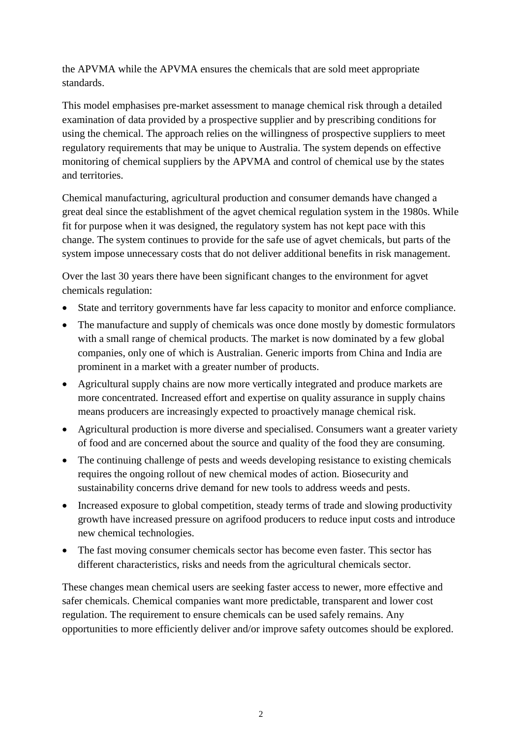the APVMA while the APVMA ensures the chemicals that are sold meet appropriate standards.

This model emphasises pre-market assessment to manage chemical risk through a detailed examination of data provided by a prospective supplier and by prescribing conditions for using the chemical. The approach relies on the willingness of prospective suppliers to meet regulatory requirements that may be unique to Australia. The system depends on effective monitoring of chemical suppliers by the APVMA and control of chemical use by the states and territories.

Chemical manufacturing, agricultural production and consumer demands have changed a great deal since the establishment of the agvet chemical regulation system in the 1980s. While fit for purpose when it was designed, the regulatory system has not kept pace with this change. The system continues to provide for the safe use of agvet chemicals, but parts of the system impose unnecessary costs that do not deliver additional benefits in risk management.

Over the last 30 years there have been significant changes to the environment for agvet chemicals regulation:

- State and territory governments have far less capacity to monitor and enforce compliance.
- The manufacture and supply of chemicals was once done mostly by domestic formulators with a small range of chemical products. The market is now dominated by a few global companies, only one of which is Australian. Generic imports from China and India are prominent in a market with a greater number of products.
- Agricultural supply chains are now more vertically integrated and produce markets are more concentrated. Increased effort and expertise on quality assurance in supply chains means producers are increasingly expected to proactively manage chemical risk.
- Agricultural production is more diverse and specialised. Consumers want a greater variety of food and are concerned about the source and quality of the food they are consuming.
- The continuing challenge of pests and weeds developing resistance to existing chemicals requires the ongoing rollout of new chemical modes of action. Biosecurity and sustainability concerns drive demand for new tools to address weeds and pests.
- Increased exposure to global competition, steady terms of trade and slowing productivity growth have increased pressure on agrifood producers to reduce input costs and introduce new chemical technologies.
- The fast moving consumer chemicals sector has become even faster. This sector has different characteristics, risks and needs from the agricultural chemicals sector.

These changes mean chemical users are seeking faster access to newer, more effective and safer chemicals. Chemical companies want more predictable, transparent and lower cost regulation. The requirement to ensure chemicals can be used safely remains. Any opportunities to more efficiently deliver and/or improve safety outcomes should be explored.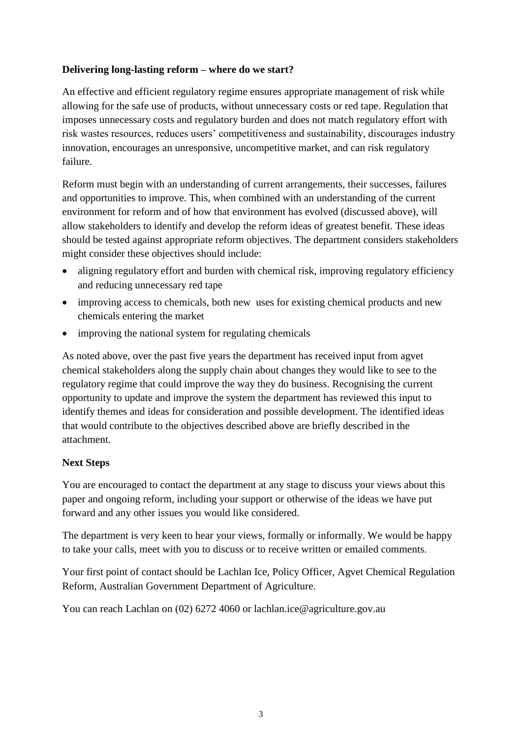#### **Delivering long-lasting reform – where do we start?**

An effective and efficient regulatory regime ensures appropriate management of risk while allowing for the safe use of products, without unnecessary costs or red tape. Regulation that imposes unnecessary costs and regulatory burden and does not match regulatory effort with risk wastes resources, reduces users' competitiveness and sustainability, discourages industry innovation, encourages an unresponsive, uncompetitive market, and can risk regulatory failure.

Reform must begin with an understanding of current arrangements, their successes, failures and opportunities to improve. This, when combined with an understanding of the current environment for reform and of how that environment has evolved (discussed above), will allow stakeholders to identify and develop the reform ideas of greatest benefit. These ideas should be tested against appropriate reform objectives. The department considers stakeholders might consider these objectives should include:

- aligning regulatory effort and burden with chemical risk, improving regulatory efficiency and reducing unnecessary red tape
- improving access to chemicals, both new uses for existing chemical products and new chemicals entering the market
- improving the national system for regulating chemicals

As noted above, over the past five years the department has received input from agvet chemical stakeholders along the supply chain about changes they would like to see to the regulatory regime that could improve the way they do business. Recognising the current opportunity to update and improve the system the department has reviewed this input to identify themes and ideas for consideration and possible development. The identified ideas that would contribute to the objectives described above are briefly described in the attachment.

#### **Next Steps**

You are encouraged to contact the department at any stage to discuss your views about this paper and ongoing reform, including your support or otherwise of the ideas we have put forward and any other issues you would like considered.

The department is very keen to hear your views, formally or informally. We would be happy to take your calls, meet with you to discuss or to receive written or emailed comments.

Your first point of contact should be Lachlan Ice, Policy Officer, Agvet Chemical Regulation Reform, Australian Government Department of Agriculture.

You can reach Lachlan on (02) 6272 4060 or lachlan.ice@agriculture.gov.au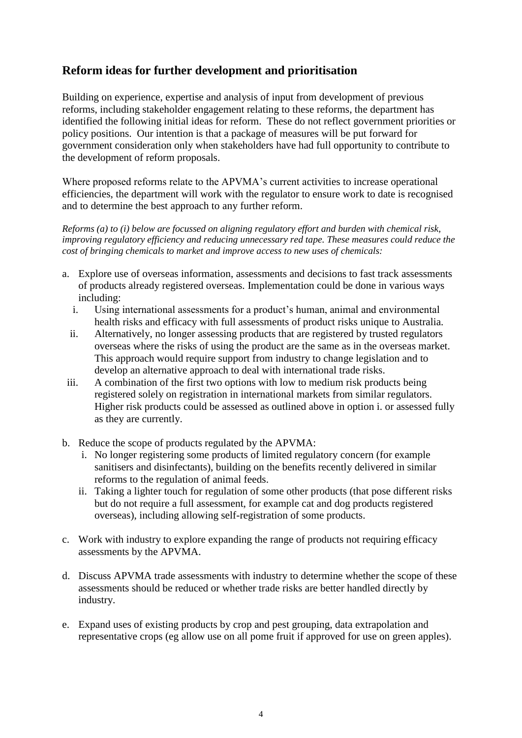## **Reform ideas for further development and prioritisation**

Building on experience, expertise and analysis of input from development of previous reforms, including stakeholder engagement relating to these reforms, the department has identified the following initial ideas for reform. These do not reflect government priorities or policy positions. Our intention is that a package of measures will be put forward for government consideration only when stakeholders have had full opportunity to contribute to the development of reform proposals.

Where proposed reforms relate to the APVMA's current activities to increase operational efficiencies, the department will work with the regulator to ensure work to date is recognised and to determine the best approach to any further reform.

*Reforms (a) to (i) below are focussed on aligning regulatory effort and burden with chemical risk, improving regulatory efficiency and reducing unnecessary red tape. These measures could reduce the cost of bringing chemicals to market and improve access to new uses of chemicals:*

- a. Explore use of overseas information, assessments and decisions to fast track assessments of products already registered overseas. Implementation could be done in various ways including:
	- i. Using international assessments for a product's human, animal and environmental health risks and efficacy with full assessments of product risks unique to Australia.
	- ii. Alternatively, no longer assessing products that are registered by trusted regulators overseas where the risks of using the product are the same as in the overseas market. This approach would require support from industry to change legislation and to develop an alternative approach to deal with international trade risks.
- iii. A combination of the first two options with low to medium risk products being registered solely on registration in international markets from similar regulators. Higher risk products could be assessed as outlined above in option i. or assessed fully as they are currently.
- b. Reduce the scope of products regulated by the APVMA:
	- i. No longer registering some products of limited regulatory concern (for example sanitisers and disinfectants), building on the benefits recently delivered in similar reforms to the regulation of animal feeds.
	- ii. Taking a lighter touch for regulation of some other products (that pose different risks but do not require a full assessment, for example cat and dog products registered overseas), including allowing self-registration of some products.
- c. Work with industry to explore expanding the range of products not requiring efficacy assessments by the APVMA.
- d. Discuss APVMA trade assessments with industry to determine whether the scope of these assessments should be reduced or whether trade risks are better handled directly by industry.
- e. Expand uses of existing products by crop and pest grouping, data extrapolation and representative crops (eg allow use on all pome fruit if approved for use on green apples).